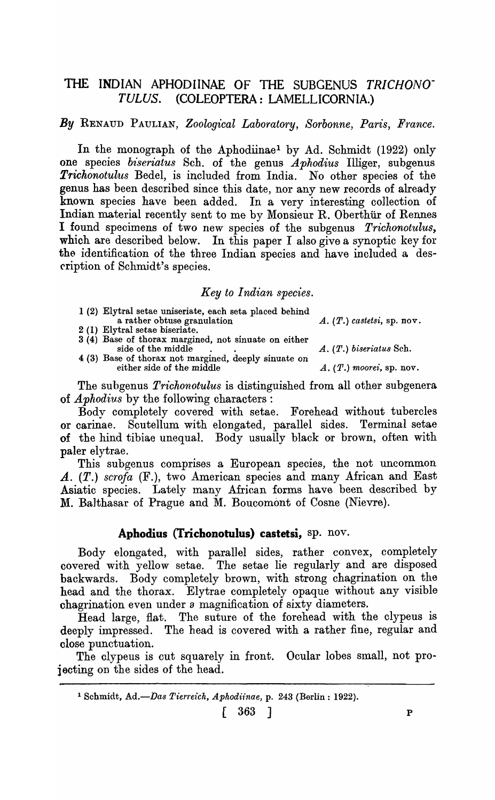# THE INDIAN APHODIINAE OF THE SUBGENUS *TRICHONO-*TULUS. (COLEOPTERA: LAMELLICORNIA.)

*By* RENAUD PAULIAN, *Zoological Laboratory, Sorbonne, Paris, France.* 

In the monograph of the Aphodiinae1 by Ad. Schmidt (1922) only one species *biseriatus* Sch. of the genus *Aphodius* Illiger, subgenus *Trichonotulus* Bedel, is included from India. No other species of the genus has been described since this date, nor any new records of already known species have been added. In a very interesting collection of Indian material recently sent to me by Monsieur R. Oberthiir of Rennes I found specimens of two new species of the subgenus *Trichonotulus,*  which are described below. In this paper I also give a synoptic key for the identification of the three Indian species and have included a description of Schmidt's species.

#### *Key to Indian species.*

- 1 (2) Elytral setae uniseriate, each seta placed behind a rather obtuse granulation A. (T.) *castetsi,* sp. nov.
- 2 (1) Elytral setae biseriate.
- side of the middle . . A. (T.) *biseriatu8* Sch.
- $3(4)$  Base of thorax margined, not sinuate on either side of the middle. 4 (3) Base of thorax not margined, deeply sinuate on either side of the middle  $A. (T.)$  moorei, sp. nov.

The subgenus *Trichonotulus* is distinguished from all other subgenera of *A phodius* by the following characters:

Body completely covered with setae. Forehead without tubercles or carinae. Scutellum with elongated, parallel sides. Terminal setae of the hind tibiae unequal. Body usually black or brown, often with paler elytrae.

This subgenus comprises a European species, the not uncommon A. (T.) scrofa (F.), two American species and many African and East Asiatic species. Lately many African forms have been described by M. Balthasar of Prague and M. Boucomont of Cosne (Nievre).

### Aphodius (Trichonotulus) castetsi, sp. nov.

Body elongated, with parallel sides, rather convex, completely covered with yellow setae. The setae lie regularly and are disposed backwards. Body completely brown, with strong chagrination on the head and the thorax. Elytrae completely opaque without any visible ohagrination even under 8 magnification of sixty diameters.

Head large, flat. The suture of the forehead with the clypeus is deeply impressed. The head is covered with a rather fine, regular and olose punctuation.

The clypeus is cut squarely in front. Ocular lobes small, not projecting on the sides of the head.

<sup>1</sup> Schmidt., *Ad.-Das Tien'e1'ch, Aphodiinae,* p. 243 (Berlin: 1922).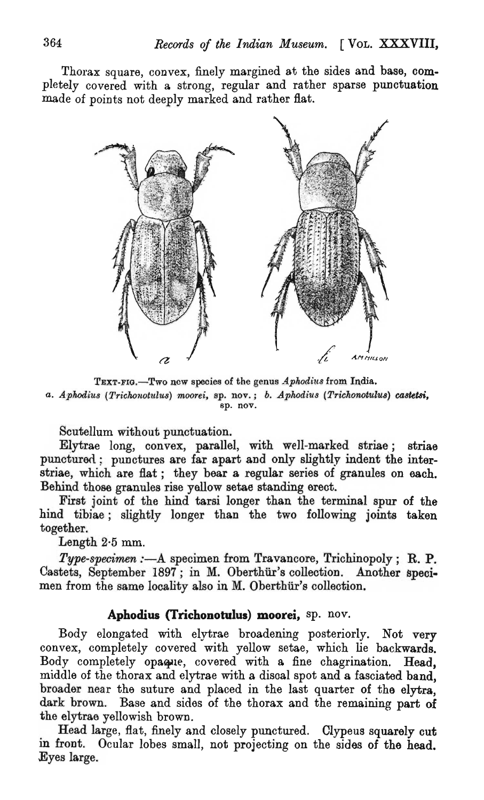Thorax square, convex, finely margined at the sides and base, completely covered with a strong, regular and rather sparse punctuation made of points not deeply marked and rather flat.



TEXT·FIG.-Two new species of the genus *Aphodiu8* from India. *a. Aphodius (Trichonotulus) moorei, sp. nov.*; *b. Aphodius (Trichonotulus) castetsi, sp. nov.* 

Scutellum without punctuation.

Elytrae long, convex, parallel, with well-marked striae; striae punctured: punctures are far apart and only slightly indent the interstriae, which are flat; they bear a regular series of granules on each. Behind those granules rise yellow setae standing erect.

First joint of the hind tarsi longer than the terminal spur of the hind tibiae; slightly longer than the two following joints taken together.

Length 2-5 mm.

*Type-specimen* :- A specimen from Travancore, Trichinopoly; R. P. Castets, September 1897; in M. Oberthiir's collection. Another specimen from the same locality also in M. Oberthür's collection.

## Aphodius (Trichonotulus) moorei, sp. nov.

Body elongated with elytrae broadening posteriorly. Not very convex, completely covered with yellow setae, which lie backwards. Body completely opaque, covered with a fine chagrination. Head, middle of the thorax and elytraewith a disoal spot and a fasciated band, broader near the suture and placed in the last quarter of the elytra, dark brown. Base and sides of the thorax and the remaining part of the elytrae yellowish brown.

Head large, flat, finely and closely punctured. Clypeus squarely cut in front. Ocular lobes small, not projecting on the sides of the head. Eyes large.